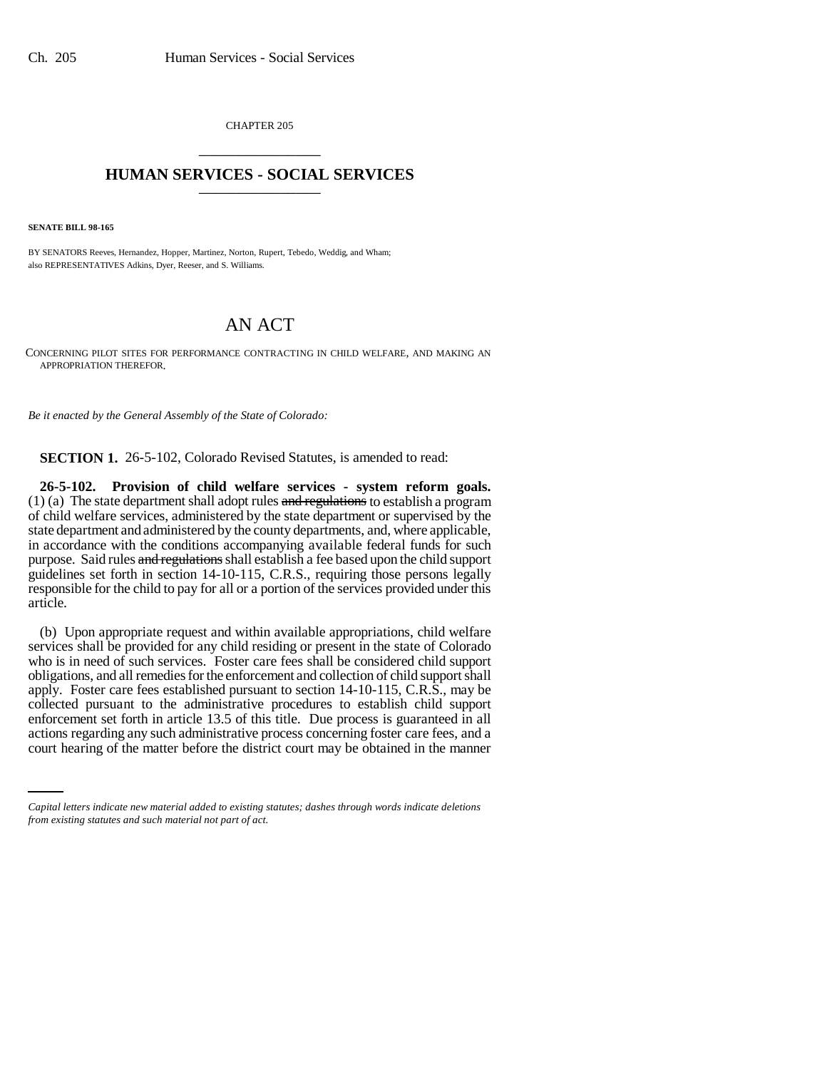CHAPTER 205 \_\_\_\_\_\_\_\_\_\_\_\_\_\_\_

## **HUMAN SERVICES - SOCIAL SERVICES** \_\_\_\_\_\_\_\_\_\_\_\_\_\_\_

**SENATE BILL 98-165**

BY SENATORS Reeves, Hernandez, Hopper, Martinez, Norton, Rupert, Tebedo, Weddig, and Wham; also REPRESENTATIVES Adkins, Dyer, Reeser, and S. Williams.

## AN ACT

CONCERNING PILOT SITES FOR PERFORMANCE CONTRACTING IN CHILD WELFARE, AND MAKING AN APPROPRIATION THEREFOR.

*Be it enacted by the General Assembly of the State of Colorado:*

**SECTION 1.** 26-5-102, Colorado Revised Statutes, is amended to read:

**26-5-102. Provision of child welfare services - system reform goals.**  $(1)$  (a) The state department shall adopt rules and regulations to establish a program of child welfare services, administered by the state department or supervised by the state department and administered by the county departments, and, where applicable, in accordance with the conditions accompanying available federal funds for such purpose. Said rules and regulations shall establish a fee based upon the child support guidelines set forth in section 14-10-115, C.R.S., requiring those persons legally responsible for the child to pay for all or a portion of the services provided under this article.

enforcement set forth in article 13.5 of this title. Due process is guaranteed in all (b) Upon appropriate request and within available appropriations, child welfare services shall be provided for any child residing or present in the state of Colorado who is in need of such services. Foster care fees shall be considered child support obligations, and all remedies for the enforcement and collection of child support shall apply. Foster care fees established pursuant to section 14-10-115, C.R.S., may be collected pursuant to the administrative procedures to establish child support actions regarding any such administrative process concerning foster care fees, and a court hearing of the matter before the district court may be obtained in the manner

*Capital letters indicate new material added to existing statutes; dashes through words indicate deletions from existing statutes and such material not part of act.*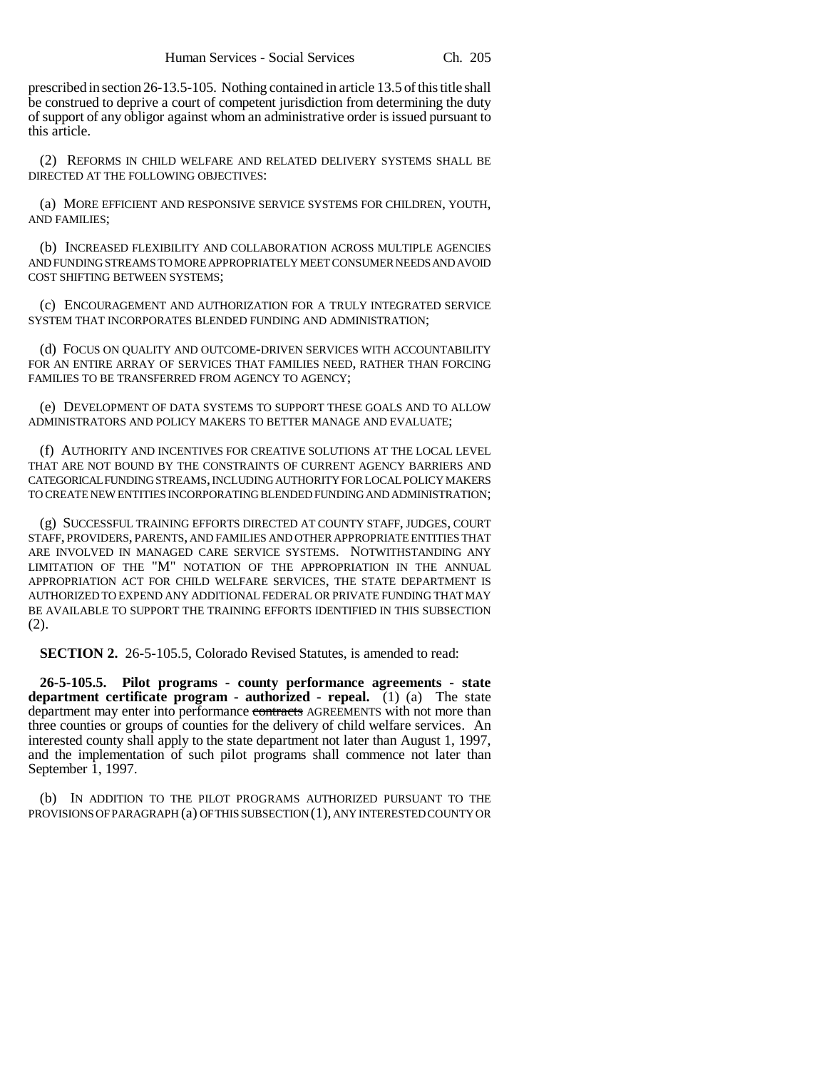prescribed in section 26-13.5-105. Nothing contained in article 13.5 of this title shall be construed to deprive a court of competent jurisdiction from determining the duty of support of any obligor against whom an administrative order is issued pursuant to this article.

(2) REFORMS IN CHILD WELFARE AND RELATED DELIVERY SYSTEMS SHALL BE DIRECTED AT THE FOLLOWING OBJECTIVES:

(a) MORE EFFICIENT AND RESPONSIVE SERVICE SYSTEMS FOR CHILDREN, YOUTH, AND FAMILIES;

(b) INCREASED FLEXIBILITY AND COLLABORATION ACROSS MULTIPLE AGENCIES AND FUNDING STREAMS TO MORE APPROPRIATELY MEET CONSUMER NEEDS AND AVOID COST SHIFTING BETWEEN SYSTEMS;

(c) ENCOURAGEMENT AND AUTHORIZATION FOR A TRULY INTEGRATED SERVICE SYSTEM THAT INCORPORATES BLENDED FUNDING AND ADMINISTRATION;

(d) FOCUS ON QUALITY AND OUTCOME-DRIVEN SERVICES WITH ACCOUNTABILITY FOR AN ENTIRE ARRAY OF SERVICES THAT FAMILIES NEED, RATHER THAN FORCING FAMILIES TO BE TRANSFERRED FROM AGENCY TO AGENCY;

(e) DEVELOPMENT OF DATA SYSTEMS TO SUPPORT THESE GOALS AND TO ALLOW ADMINISTRATORS AND POLICY MAKERS TO BETTER MANAGE AND EVALUATE;

(f) AUTHORITY AND INCENTIVES FOR CREATIVE SOLUTIONS AT THE LOCAL LEVEL THAT ARE NOT BOUND BY THE CONSTRAINTS OF CURRENT AGENCY BARRIERS AND CATEGORICAL FUNDING STREAMS, INCLUDING AUTHORITY FOR LOCAL POLICY MAKERS TO CREATE NEW ENTITIES INCORPORATING BLENDED FUNDING AND ADMINISTRATION;

(g) SUCCESSFUL TRAINING EFFORTS DIRECTED AT COUNTY STAFF, JUDGES, COURT STAFF, PROVIDERS, PARENTS, AND FAMILIES AND OTHER APPROPRIATE ENTITIES THAT ARE INVOLVED IN MANAGED CARE SERVICE SYSTEMS. NOTWITHSTANDING ANY LIMITATION OF THE "M" NOTATION OF THE APPROPRIATION IN THE ANNUAL APPROPRIATION ACT FOR CHILD WELFARE SERVICES, THE STATE DEPARTMENT IS AUTHORIZED TO EXPEND ANY ADDITIONAL FEDERAL OR PRIVATE FUNDING THAT MAY BE AVAILABLE TO SUPPORT THE TRAINING EFFORTS IDENTIFIED IN THIS SUBSECTION (2).

**SECTION 2.** 26-5-105.5, Colorado Revised Statutes, is amended to read:

**26-5-105.5. Pilot programs - county performance agreements - state department certificate program - authorized - repeal.** (1) (a) The state department may enter into performance contracts AGREEMENTS with not more than three counties or groups of counties for the delivery of child welfare services. An interested county shall apply to the state department not later than August 1, 1997, and the implementation of such pilot programs shall commence not later than September  $\overline{1}$ , 1997.

(b) IN ADDITION TO THE PILOT PROGRAMS AUTHORIZED PURSUANT TO THE PROVISIONS OF PARAGRAPH (a) OF THIS SUBSECTION (1), ANY INTERESTED COUNTY OR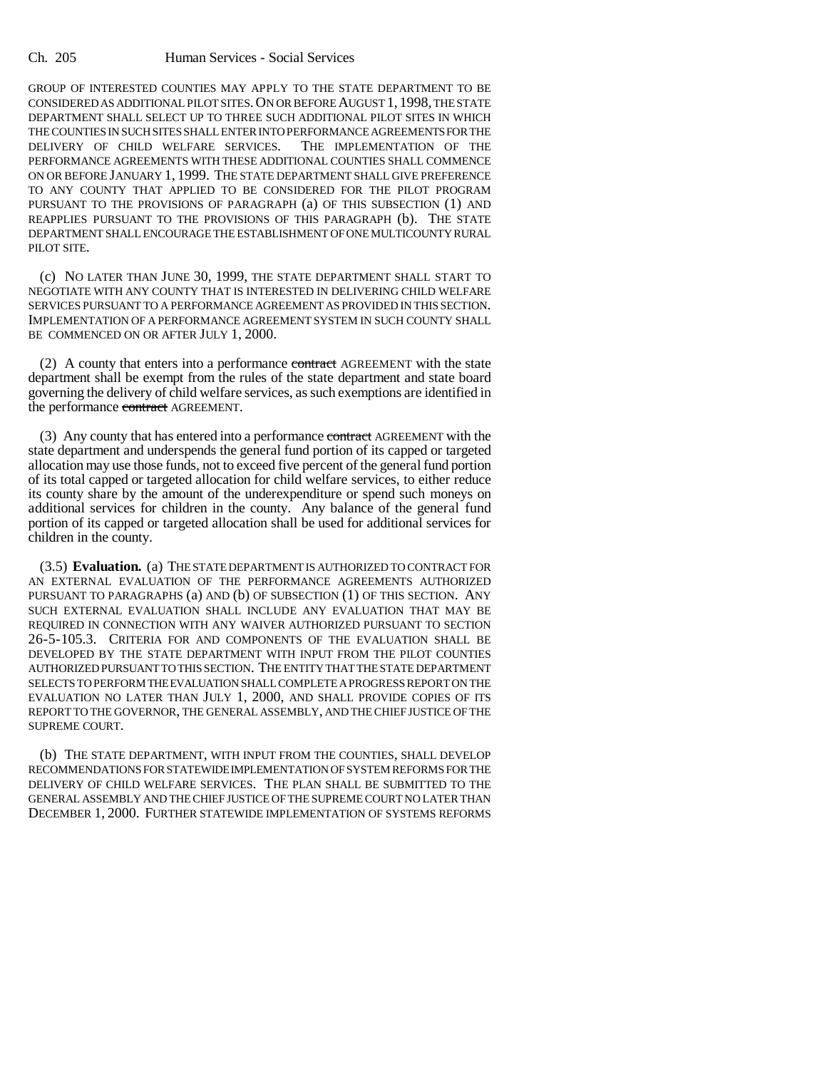GROUP OF INTERESTED COUNTIES MAY APPLY TO THE STATE DEPARTMENT TO BE CONSIDERED AS ADDITIONAL PILOT SITES.ON OR BEFORE AUGUST 1, 1998, THE STATE DEPARTMENT SHALL SELECT UP TO THREE SUCH ADDITIONAL PILOT SITES IN WHICH THE COUNTIES IN SUCH SITES SHALL ENTER INTO PERFORMANCE AGREEMENTS FOR THE DELIVERY OF CHILD WELFARE SERVICES. THE IMPLEMENTATION OF THE PERFORMANCE AGREEMENTS WITH THESE ADDITIONAL COUNTIES SHALL COMMENCE ON OR BEFORE JANUARY 1, 1999. THE STATE DEPARTMENT SHALL GIVE PREFERENCE TO ANY COUNTY THAT APPLIED TO BE CONSIDERED FOR THE PILOT PROGRAM PURSUANT TO THE PROVISIONS OF PARAGRAPH (a) OF THIS SUBSECTION (1) AND REAPPLIES PURSUANT TO THE PROVISIONS OF THIS PARAGRAPH (b). THE STATE DEPARTMENT SHALL ENCOURAGE THE ESTABLISHMENT OF ONE MULTICOUNTY RURAL PILOT SITE.

(c) NO LATER THAN JUNE 30, 1999, THE STATE DEPARTMENT SHALL START TO NEGOTIATE WITH ANY COUNTY THAT IS INTERESTED IN DELIVERING CHILD WELFARE SERVICES PURSUANT TO A PERFORMANCE AGREEMENT AS PROVIDED IN THIS SECTION. IMPLEMENTATION OF A PERFORMANCE AGREEMENT SYSTEM IN SUCH COUNTY SHALL BE COMMENCED ON OR AFTER JULY 1, 2000.

(2) A county that enters into a performance contract AGREEMENT with the state department shall be exempt from the rules of the state department and state board governing the delivery of child welfare services, as such exemptions are identified in the performance contract AGREEMENT.

(3) Any county that has entered into a performance contract AGREEMENT with the state department and underspends the general fund portion of its capped or targeted allocation may use those funds, not to exceed five percent of the general fund portion of its total capped or targeted allocation for child welfare services, to either reduce its county share by the amount of the underexpenditure or spend such moneys on additional services for children in the county. Any balance of the general fund portion of its capped or targeted allocation shall be used for additional services for children in the county.

(3.5) **Evaluation.** (a) THE STATE DEPARTMENT IS AUTHORIZED TO CONTRACT FOR AN EXTERNAL EVALUATION OF THE PERFORMANCE AGREEMENTS AUTHORIZED PURSUANT TO PARAGRAPHS (a) AND (b) OF SUBSECTION (1) OF THIS SECTION. ANY SUCH EXTERNAL EVALUATION SHALL INCLUDE ANY EVALUATION THAT MAY BE REQUIRED IN CONNECTION WITH ANY WAIVER AUTHORIZED PURSUANT TO SECTION 26-5-105.3. CRITERIA FOR AND COMPONENTS OF THE EVALUATION SHALL BE DEVELOPED BY THE STATE DEPARTMENT WITH INPUT FROM THE PILOT COUNTIES AUTHORIZED PURSUANT TO THIS SECTION. THE ENTITY THAT THE STATE DEPARTMENT SELECTS TO PERFORM THE EVALUATION SHALL COMPLETE A PROGRESS REPORT ON THE EVALUATION NO LATER THAN JULY 1, 2000, AND SHALL PROVIDE COPIES OF ITS REPORT TO THE GOVERNOR, THE GENERAL ASSEMBLY, AND THE CHIEF JUSTICE OF THE SUPREME COURT.

(b) THE STATE DEPARTMENT, WITH INPUT FROM THE COUNTIES, SHALL DEVELOP RECOMMENDATIONS FOR STATEWIDE IMPLEMENTATION OF SYSTEM REFORMS FOR THE DELIVERY OF CHILD WELFARE SERVICES. THE PLAN SHALL BE SUBMITTED TO THE GENERAL ASSEMBLY AND THE CHIEF JUSTICE OF THE SUPREME COURT NO LATER THAN DECEMBER 1, 2000. FURTHER STATEWIDE IMPLEMENTATION OF SYSTEMS REFORMS